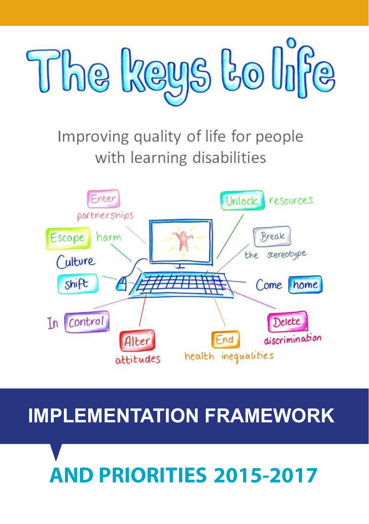

### Improving quality of life for people with learning disabilities



### **IMPLEMENTATION FRAMEWORK**

## **AND PRIORITIES 2015-2017**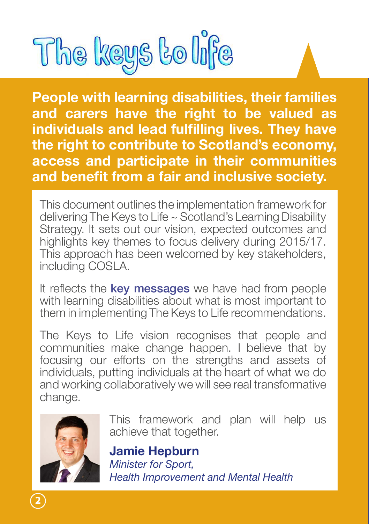

**People with learning disabilities, their families and carers have the right to be valued as individuals and lead fulfilling lives. They have the right to contribute to Scotland's economy, access and participate in their communities and benefit from a fair and inclusive society.** 

This document outlines the implementation framework for delivering The Keys to Life ~ Scotland's Learning Disability Strategy. It sets out our vision, expected outcomes and highlights key themes to focus delivery during 2015/17. This approach has been welcomed by key stakeholders, including COSLA.

It reflects the **key messages** we have had from people with learning disabilities about what is most important to them in implementing The Keys to Life recommendations.

The Keys to Life vision recognises that people and communities make change happen. I believe that by focusing our efforts on the strengths and assets of individuals, putting individuals at the heart of what we do and working collaboratively we will see real transformative change.



This framework and plan will help us achieve that together.

**Jamie Hepburn** *Minister for Sport, Health Improvement and Mental Health*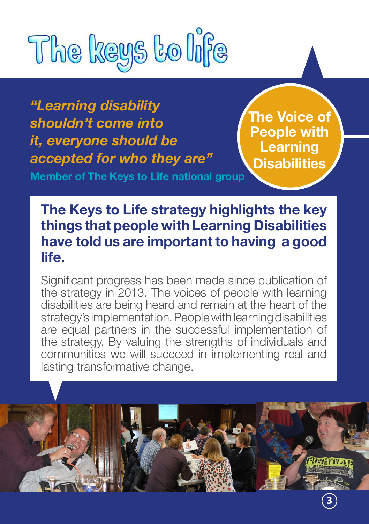

*"Learning disability shouldn't come into it, everyone should be accepted for who they are"*

**Member of The Keys to Life national group**

**The Voice of People with Learning Disabilities**

**The Keys to Life strategy highlights the key things that people with Learning Disabilities have told us are important to having a good life.**

Significant progress has been made since publication of the strategy in 2013. The voices of people with learning disabilities are being heard and remain at the heart of the strategy's implementation. People with learning disabilities are equal partners in the successful implementation of the strategy. By valuing the strengths of individuals and communities we will succeed in implementing real and lasting transformative change.

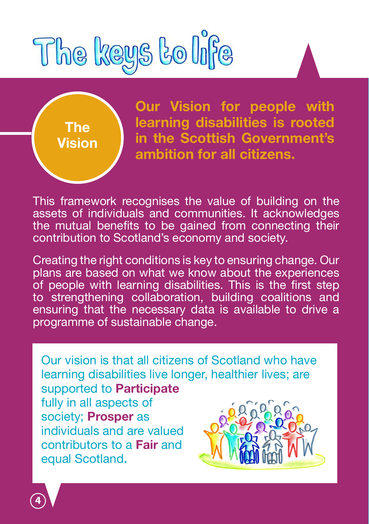



**Our Vision for people with learning disabilities is rooted in the Scottish Government's ambition for all citizens.**

This framework recognises the value of building on the assets of individuals and communities. It acknowledges the mutual benefits to be gained from connecting their contribution to Scotland's economy and society.

Creating the right conditions is key to ensuring change. Our plans are based on what we know about the experiences of people with learning disabilities. This is the first step to strengthening collaboration, building coalitions and ensuring that the necessary data is available to drive a programme of sustainable change.

Our vision is that all citizens of Scotland who have learning disabilities live longer, healthier lives; are supported to **Participate** fully in all aspects of society; **Prosper** as individuals and are valued contributors to a **Fair** and equal Scotland.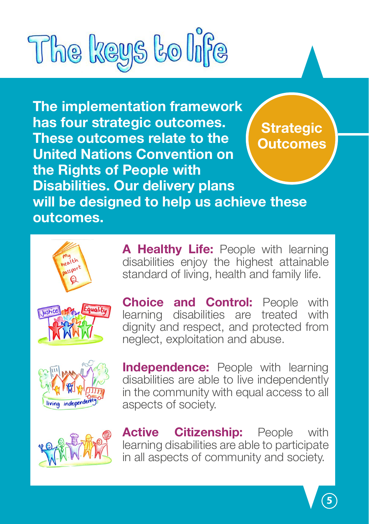# The keys to life

**The implementation framework has four strategic outcomes. These outcomes relate to the United Nations Convention on the Rights of People with Disabilities. Our delivery plans will be designed to help us achieve these outcomes. Strategic Outcomes**



disabilities enjoy the highest attainable standard of living, health and family life.

A Healthy Life: People with learning

**Choice and Control:** People with learning disabilities are treated with disabilities are dignity and respect, and protected from neglect, exploitation and abuse.



**Independence:** People with learning disabilities are able to live independently in the community with equal access to all aspects of society.



**Active Citizenship:** People with learning disabilities are able to participate in all aspects of community and society.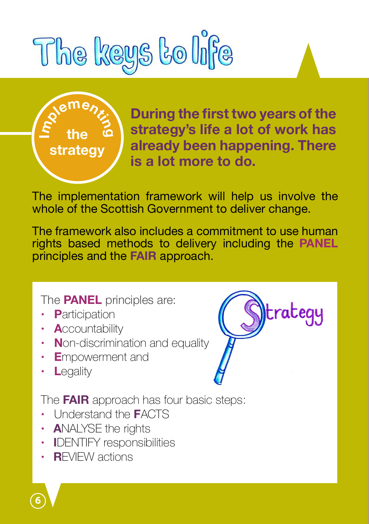# The keys to life



**During the first two years of the strategy's life a lot of work has already been happening. There is a lot more to do.** 

The implementation framework will help us involve the whole of the Scottish Government to deliver change.

The framework also includes a commitment to use human rights based methods to delivery including the **PANEL** principles and the **FAIR** approach.

The **PANEL** principles are:

- **· P**articipation
- **· A**ccountability
- **· N**on-discrimination and equality
- **· E**mpowerment and
- **· L**egality



The **FAIR** approach has four basic steps:

- **·** Understand the **F**ACTS
- **ANALYSE the rights**
- **· I**DENTIFY responsibilities
- **· R**EVIEW actions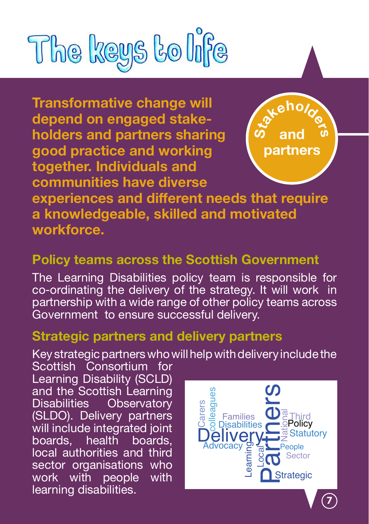

**Transformative change will depend on engaged stakeholders and partners sharing good practice and working together. Individuals and communities have diverse** 



**experiences and different needs that require a knowledgeable, skilled and motivated workforce.**

#### **Policy teams across the Scottish Government**

The Learning Disabilities policy team is responsible for co-ordinating the delivery of the strategy. It will work in partnership with a wide range of other policy teams across Government to ensure successful delivery.

#### **Strategic partners and delivery partners**

Key strategic partners who will help with delivery include the

Scottish Consortium for Learning Disability (SCLD) and the Scottish Learning Disabilities Observatory (SLDO). Delivery partners will include integrated joint<br>boards, health boards, boards, health boards, local authorities and third sector organisations who<br>work with people with work with people learning disabilities.

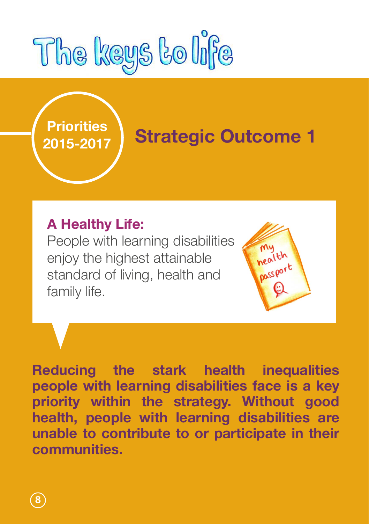

## **Priorities**

### **2015-2017 Strategic Outcome 1**

mu nealth **Dassport** 

#### **A Healthy Life:**

People with learning disabilities enjoy the highest attainable standard of living, health and family life.

**Reducing the stark health inequalities people with learning disabilities face is a key priority within the strategy. Without good health, people with learning disabilities are unable to contribute to or participate in their communities.**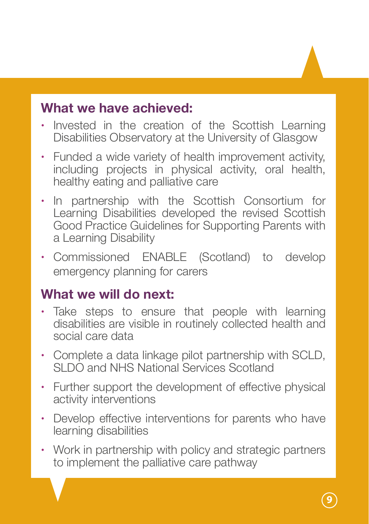- **·** Invested in the creation of the Scottish Learning Disabilities Observatory at the University of Glasgow
- **·** Funded a wide variety of health improvement activity, including projects in physical activity, oral health, healthy eating and palliative care
- **·** In partnership with the Scottish Consortium for Learning Disabilities developed the revised Scottish Good Practice Guidelines for Supporting Parents with a Learning Disability
- **·** Commissioned ENABLE (Scotland) to develop emergency planning for carers

#### **What we will do next:**

- **·** Take steps to ensure that people with learning disabilities are visible in routinely collected health and social care data
- **·** Complete a data linkage pilot partnership with SCLD, SLDO and NHS National Services Scotland
- **·** Further support the development of effective physical activity interventions
- **·** Develop effective interventions for parents who have learning disabilities
- **·** Work in partnership with policy and strategic partners to implement the palliative care pathway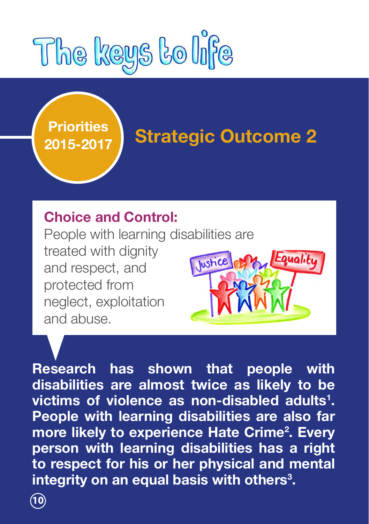

## **Priorities**

## **2015-2017 Strategic Outcome 2**

Equality

#### **Choice and Control:**

People with learning disabilities are treated with dignity **Iustic** and respect, and protected from neglect, exploitation and abuse.

**Research has shown that people with disabilities are almost twice as likely to be victims of violence as non-disabled adults<sup>1</sup> . People with learning disabilities are also far more likely to experience Hate Crime<sup>2</sup> . Every person with learning disabilities has a right to respect for his or her physical and mental integrity on an equal basis with others<sup>3</sup> .**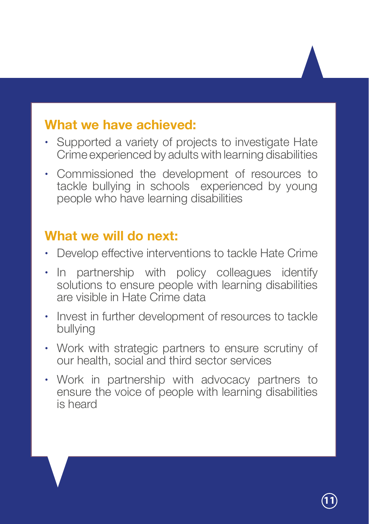- **·** Supported a variety of projects to investigate Hate Crime experienced by adults with learning disabilities
- **·** Commissioned the development of resources to tackle bullying in schools experienced by young people who have learning disabilities

#### **What we will do next:**

- **·** Develop effective interventions to tackle Hate Crime
- **·** In partnership with policy colleagues identify solutions to ensure people with learning disabilities are visible in Hate Crime data
- **·** Invest in further development of resources to tackle bullying
- **·** Work with strategic partners to ensure scrutiny of our health, social and third sector services
- **·** Work in partnership with advocacy partners to ensure the voice of people with learning disabilities is heard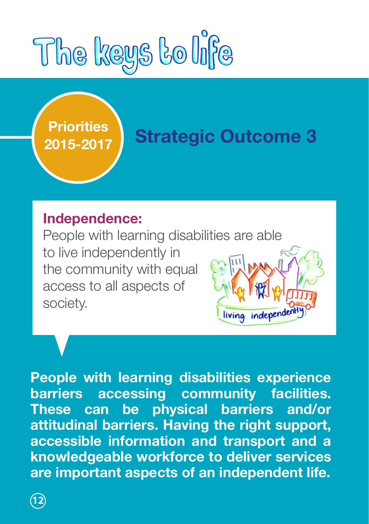

## **Priorities**

### **2015-2017 Strategic Outcome 3**

#### **Independence:**

People with learning disabilities are able to live independently in the community with equal access to all aspects of society. living independe

**People with learning disabilities experience barriers accessing community facilities. These can be physical barriers and/or attitudinal barriers. Having the right support, accessible information and transport and a knowledgeable workforce to deliver services are important aspects of an independent life.**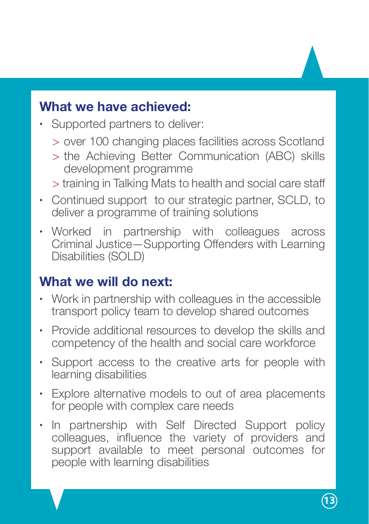- **·** Supported partners to deliver:
	- > over 100 changing places facilities across Scotland
	- > the Achieving Better Communication (ABC) skills development programme
	- > training in Talking Mats to health and social care staff
- **·** Continued support to our strategic partner, SCLD, to deliver a programme of training solutions
- **·** Worked in partnership with colleagues across Criminal Justice—Supporting Offenders with Learning Disabilities (SOLD)

#### **What we will do next:**

- **·** Work in partnership with colleagues in the accessible transport policy team to develop shared outcomes
- **·** Provide additional resources to develop the skills and competency of the health and social care workforce
- **·** Support access to the creative arts for people with learning disabilities
- **·** Explore alternative models to out of area placements for people with complex care needs
- **·** In partnership with Self Directed Support policy colleagues, influence the variety of providers and support available to meet personal outcomes for people with learning disabilities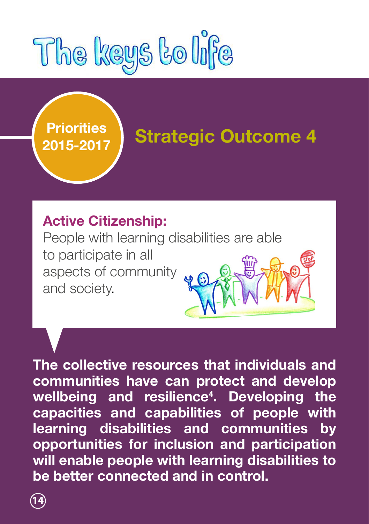



## **2015-2017 Strategic Outcome 4**

#### **Active Citizenship:**

People with learning disabilities are able to participate in all aspects of community and society.

**The collective resources that individuals and communities have can protect and develop wellbeing and resilience4 . Developing the capacities and capabilities of people with learning disabilities and communities by opportunities for inclusion and participation will enable people with learning disabilities to be better connected and in control.**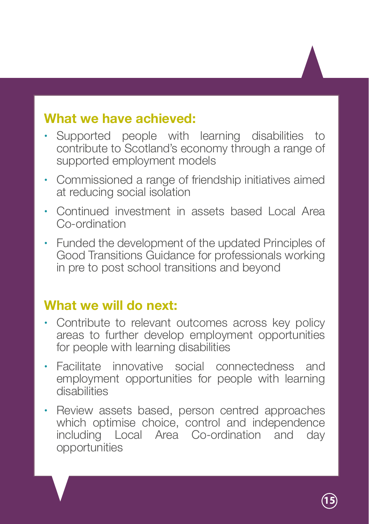- **·** Supported people with learning disabilities to contribute to Scotland's economy through a range of supported employment models
- **·** Commissioned a range of friendship initiatives aimed at reducing social isolation
- **·** Continued investment in assets based Local Area Co-ordination
- **·** Funded the development of the updated Principles of Good Transitions Guidance for professionals working in pre to post school transitions and beyond

#### **What we will do next:**

- **·** Contribute to relevant outcomes across key policy areas to further develop employment opportunities for people with learning disabilities
- **·** Facilitate innovative social connectedness and employment opportunities for people with learning disabilities
- **·** Review assets based, person centred approaches which optimise choice, control and independence including Local Area Co-ordination and day opportunities